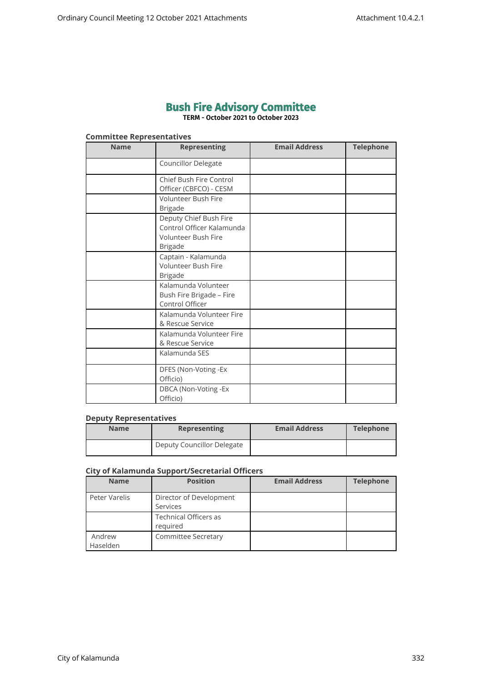# **Bush Fire Advisory Committee**

**TERM - October 2021 to October 2023**

# **Committee Representatives**

| <b>Name</b> | <b>Representing</b>                                                                          | <b>Email Address</b> | <b>Telephone</b> |
|-------------|----------------------------------------------------------------------------------------------|----------------------|------------------|
|             | Councillor Delegate                                                                          |                      |                  |
|             | Chief Bush Fire Control<br>Officer (CBFCO) - CESM                                            |                      |                  |
|             | Volunteer Bush Fire<br><b>Brigade</b>                                                        |                      |                  |
|             | Deputy Chief Bush Fire<br>Control Officer Kalamunda<br>Volunteer Bush Fire<br><b>Brigade</b> |                      |                  |
|             | Captain - Kalamunda<br>Volunteer Bush Fire<br><b>Brigade</b>                                 |                      |                  |
|             | Kalamunda Volunteer<br>Bush Fire Brigade - Fire<br>Control Officer                           |                      |                  |
|             | Kalamunda Volunteer Fire<br>& Rescue Service                                                 |                      |                  |
|             | Kalamunda Volunteer Fire<br>& Rescue Service                                                 |                      |                  |
|             | Kalamunda SES                                                                                |                      |                  |
|             | DFES (Non-Voting -Ex<br>Officio)                                                             |                      |                  |
|             | DBCA (Non-Voting -Ex<br>Officio)                                                             |                      |                  |

#### **Deputy Representatives**

| <b>Name</b> | <b>Representing</b>        | <b>Email Address</b> | <b>Telephone</b> |
|-------------|----------------------------|----------------------|------------------|
|             | Deputy Councillor Delegate |                      |                  |

# **City of Kalamunda Support/Secretarial Officers**

| <b>Name</b>        | <b>Position</b>                          | <b>Email Address</b> | <b>Telephone</b> |
|--------------------|------------------------------------------|----------------------|------------------|
| Peter Varelis      | Director of Development<br>Services      |                      |                  |
|                    | <b>Technical Officers as</b><br>required |                      |                  |
| Andrew<br>Haselden | <b>Committee Secretary</b>               |                      |                  |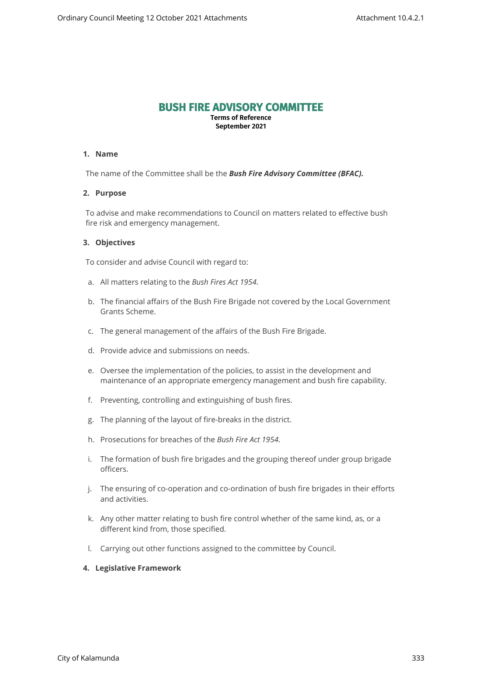# **BUSH FIRE ADVISORY COMMITTEE**

**Terms of Reference September 2021**

#### **1. Name**

The name of the Committee shall be the *Bush Fire Advisory Committee (BFAC).*

#### **2. Purpose**

To advise and make recommendations to Council on matters related to effective bush fire risk and emergency management.

# **3. Objectives**

To consider and advise Council with regard to:

- a. All matters relating to the *Bush Fires Act 1954*.
- b. The financial affairs of the Bush Fire Brigade not covered by the Local Government Grants Scheme.
- c. The general management of the affairs of the Bush Fire Brigade.
- d. Provide advice and submissions on needs.
- e. Oversee the implementation of the policies, to assist in the development and maintenance of an appropriate emergency management and bush fire capability.
- f. Preventing, controlling and extinguishing of bush fires.
- g. The planning of the layout of fire-breaks in the district.
- h. Prosecutions for breaches of the *Bush Fire Act 1954*.
- i. The formation of bush fire brigades and the grouping thereof under group brigade officers.
- j. The ensuring of co-operation and co-ordination of bush fire brigades in their efforts and activities.
- k. Any other matter relating to bush fire control whether of the same kind, as, or a different kind from, those specified.
- l. Carrying out other functions assigned to the committee by Council.

# **4. Legislative Framework**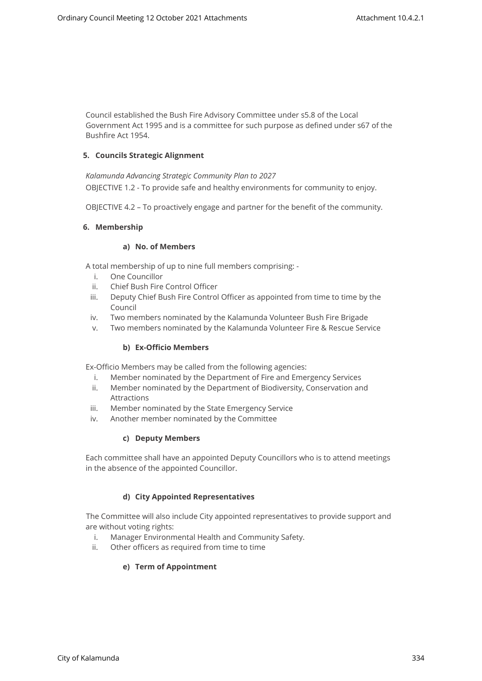Council established the Bush Fire Advisory Committee under s5.8 of the Local Government Act 1995 and is a committee for such purpose as defined under s67 of the Bushfire Act 1954.

# **5. Councils Strategic Alignment**

*Kalamunda Advancing Strategic Community Plan to 2027*  OBJECTIVE 1.2 - To provide safe and healthy environments for community to enjoy.

OBJECTIVE 4.2 – To proactively engage and partner for the benefit of the community.

# **6. Membership**

# **a) No. of Members**

A total membership of up to nine full members comprising: -

- i. One Councillor
- ii. Chief Bush Fire Control Officer
- iii. Deputy Chief Bush Fire Control Officer as appointed from time to time by the Council
- iv. Two members nominated by the Kalamunda Volunteer Bush Fire Brigade
- v. Two members nominated by the Kalamunda Volunteer Fire & Rescue Service

# **b) Ex-Officio Members**

Ex-Officio Members may be called from the following agencies:

- i. Member nominated by the Department of Fire and Emergency Services
- ii. Member nominated by the Department of Biodiversity, Conservation and Attractions
- iii. Member nominated by the State Emergency Service
- iv. Another member nominated by the Committee

# **c) Deputy Members**

Each committee shall have an appointed Deputy Councillors who is to attend meetings in the absence of the appointed Councillor.

# **d) City Appointed Representatives**

The Committee will also include City appointed representatives to provide support and are without voting rights:

- i. Manager Environmental Health and Community Safety.
- ii. Other officers as required from time to time

# **e) Term of Appointment**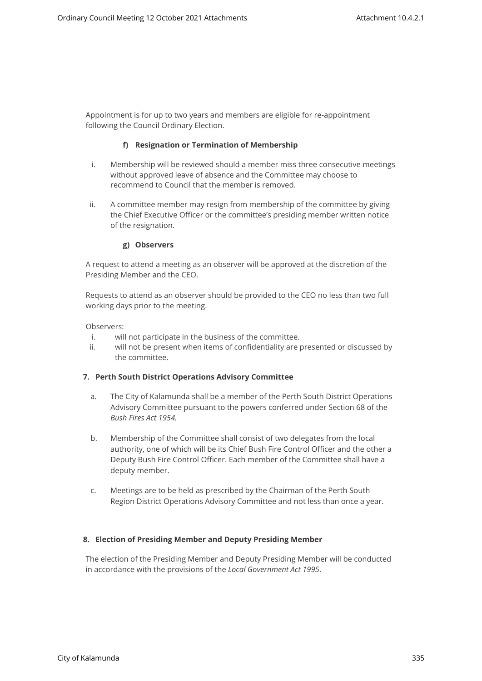Appointment is for up to two years and members are eligible for re-appointment following the Council Ordinary Election.

#### **f) Resignation or Termination of Membership**

- i. Membership will be reviewed should a member miss three consecutive meetings without approved leave of absence and the Committee may choose to recommend to Council that the member is removed.
- ii. A committee member may resign from membership of the committee by giving the Chief Executive Officer or the committee's presiding member written notice of the resignation.

#### **g) Observers**

A request to attend a meeting as an observer will be approved at the discretion of the Presiding Member and the CEO.

Requests to attend as an observer should be provided to the CEO no less than two full working days prior to the meeting.

Observers:

- i. will not participate in the business of the committee.
- ii. will not be present when items of confidentiality are presented or discussed by the committee.

#### **7. Perth South District Operations Advisory Committee**

- a. The City of Kalamunda shall be a member of the Perth South District Operations Advisory Committee pursuant to the powers conferred under Section 68 of the *Bush Fires Act 1954.*
- b. Membership of the Committee shall consist of two delegates from the local authority, one of which will be its Chief Bush Fire Control Officer and the other a Deputy Bush Fire Control Officer. Each member of the Committee shall have a deputy member.
- c. Meetings are to be held as prescribed by the Chairman of the Perth South Region District Operations Advisory Committee and not less than once a year.

# **8. Election of Presiding Member and Deputy Presiding Member**

The election of the Presiding Member and Deputy Presiding Member will be conducted in accordance with the provisions of the *Local Government Act 1995*.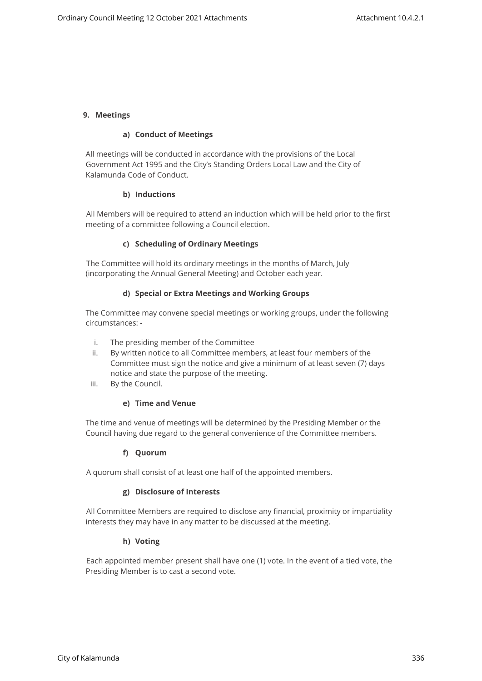## **9. Meetings**

#### **a) Conduct of Meetings**

All meetings will be conducted in accordance with the provisions of the Local Government Act 1995 and the City's Standing Orders Local Law and the City of Kalamunda Code of Conduct.

#### **b) Inductions**

All Members will be required to attend an induction which will be held prior to the first meeting of a committee following a Council election.

#### **c) Scheduling of Ordinary Meetings**

The Committee will hold its ordinary meetings in the months of March, July (incorporating the Annual General Meeting) and October each year.

#### **d) Special or Extra Meetings and Working Groups**

The Committee may convene special meetings or working groups, under the following circumstances: -

- i. The presiding member of the Committee
- ii. By written notice to all Committee members, at least four members of the Committee must sign the notice and give a minimum of at least seven (7) days notice and state the purpose of the meeting.
- iii. By the Council.

# **e) Time and Venue**

The time and venue of meetings will be determined by the Presiding Member or the Council having due regard to the general convenience of the Committee members.

# **f) Quorum**

A quorum shall consist of at least one half of the appointed members.

# **g) Disclosure of Interests**

All Committee Members are required to disclose any financial, proximity or impartiality interests they may have in any matter to be discussed at the meeting.

#### **h) Voting**

Each appointed member present shall have one (1) vote. In the event of a tied vote, the Presiding Member is to cast a second vote.